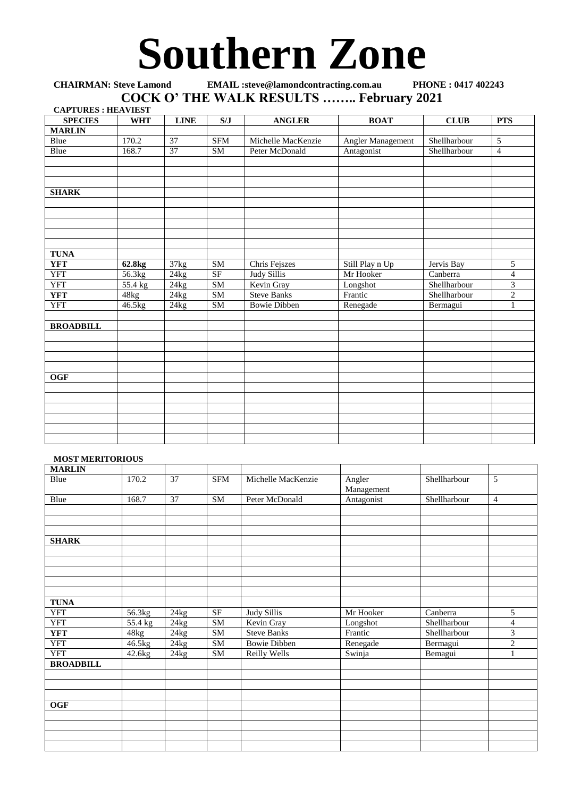## **Southern Zone**

## **CHAIRMAN: Steve Lamond EMAIL :steve@lamondcontracting.com.au PHONE : 0417 402243 COCK O' THE WALK RESULTS …….. February 2021**

| <b>CAPTURES: HEAVIEST</b> |                    |             |            |                     |                   |              |                |
|---------------------------|--------------------|-------------|------------|---------------------|-------------------|--------------|----------------|
| <b>SPECIES</b>            | <b>WHT</b>         | <b>LINE</b> | S/J        | <b>ANGLER</b>       | <b>BOAT</b>       | <b>CLUB</b>  | <b>PTS</b>     |
| <b>MARLIN</b>             |                    |             |            |                     |                   |              |                |
| Blue                      | 170.2              | 37          | <b>SFM</b> | Michelle MacKenzie  | Angler Management | Shellharbour | 5              |
| Blue                      | 168.7              | 37          | <b>SM</b>  | Peter McDonald      | Antagonist        | Shellharbour | $\overline{4}$ |
|                           |                    |             |            |                     |                   |              |                |
|                           |                    |             |            |                     |                   |              |                |
|                           |                    |             |            |                     |                   |              |                |
| <b>SHARK</b>              |                    |             |            |                     |                   |              |                |
|                           |                    |             |            |                     |                   |              |                |
|                           |                    |             |            |                     |                   |              |                |
|                           |                    |             |            |                     |                   |              |                |
|                           |                    |             |            |                     |                   |              |                |
|                           |                    |             |            |                     |                   |              |                |
| <b>TUNA</b>               |                    |             |            |                     |                   |              |                |
| <b>YFT</b>                | 62.8 <sub>kg</sub> | 37kg        | <b>SM</b>  | Chris Fejszes       | Still Play n Up   | Jervis Bay   | 5              |
| <b>YFT</b>                | 56.3kg             | 24kg        | <b>SF</b>  | Judy Sillis         | Mr Hooker         | Canberra     | 4              |
| <b>YFT</b>                | 55.4 kg            | 24kg        | SM         | Kevin Gray          | Longshot          | Shellharbour | $\overline{3}$ |
| <b>YFT</b>                | 48kg               | 24kg        | SM         | <b>Steve Banks</b>  | Frantic           | Shellharbour | $\sqrt{2}$     |
| <b>YFT</b>                | 46.5kg             | 24kg        | <b>SM</b>  | <b>Bowie Dibben</b> | Renegade          | Bermagui     | 1              |
|                           |                    |             |            |                     |                   |              |                |
| <b>BROADBILL</b>          |                    |             |            |                     |                   |              |                |
|                           |                    |             |            |                     |                   |              |                |
|                           |                    |             |            |                     |                   |              |                |
|                           |                    |             |            |                     |                   |              |                |
|                           |                    |             |            |                     |                   |              |                |
| <b>OGF</b>                |                    |             |            |                     |                   |              |                |
|                           |                    |             |            |                     |                   |              |                |
|                           |                    |             |            |                     |                   |              |                |
|                           |                    |             |            |                     |                   |              |                |
|                           |                    |             |            |                     |                   |              |                |
|                           |                    |             |            |                     |                   |              |                |
|                           |                    |             |            |                     |                   |              |                |

## **MOST MERITORIOUS**

| <b>MARLIN</b>    |         |                    |            |                     |                      |              |                |
|------------------|---------|--------------------|------------|---------------------|----------------------|--------------|----------------|
| <b>Blue</b>      | 170.2   | 37                 | <b>SFM</b> | Michelle MacKenzie  | Angler<br>Management | Shellharbour | 5              |
| Blue             | 168.7   | 37                 | SM         | Peter McDonald      | Antagonist           | Shellharbour | $\overline{4}$ |
|                  |         |                    |            |                     |                      |              |                |
|                  |         |                    |            |                     |                      |              |                |
|                  |         |                    |            |                     |                      |              |                |
| <b>SHARK</b>     |         |                    |            |                     |                      |              |                |
|                  |         |                    |            |                     |                      |              |                |
|                  |         |                    |            |                     |                      |              |                |
|                  |         |                    |            |                     |                      |              |                |
|                  |         |                    |            |                     |                      |              |                |
|                  |         |                    |            |                     |                      |              |                |
| <b>TUNA</b>      |         |                    |            |                     |                      |              |                |
| <b>YFT</b>       | 56.3kg  | 24kg               | SF         | <b>Judy Sillis</b>  | Mr Hooker            | Canberra     | 5              |
| YFT              | 55.4 kg | 24kg               | SM         | Kevin Gray          | Longshot             | Shellharbour | $\overline{4}$ |
| <b>YFT</b>       | 48kg    | $\overline{2}$ 4kg | ${\bf SM}$ | <b>Steve Banks</b>  | Frantic              | Shellharbour | 3              |
| <b>YFT</b>       | 46.5kg  | 24kg               | ${\bf SM}$ | <b>Bowie Dibben</b> | Renegade             | Bermagui     | $\overline{c}$ |
| <b>YFT</b>       | 42.6kg  | 24kg               | ${\bf SM}$ | Reilly Wells        | Swinja               | Bemagui      |                |
| <b>BROADBILL</b> |         |                    |            |                     |                      |              |                |
|                  |         |                    |            |                     |                      |              |                |
|                  |         |                    |            |                     |                      |              |                |
|                  |         |                    |            |                     |                      |              |                |
| <b>OGF</b>       |         |                    |            |                     |                      |              |                |
|                  |         |                    |            |                     |                      |              |                |
|                  |         |                    |            |                     |                      |              |                |
|                  |         |                    |            |                     |                      |              |                |
|                  |         |                    |            |                     |                      |              |                |